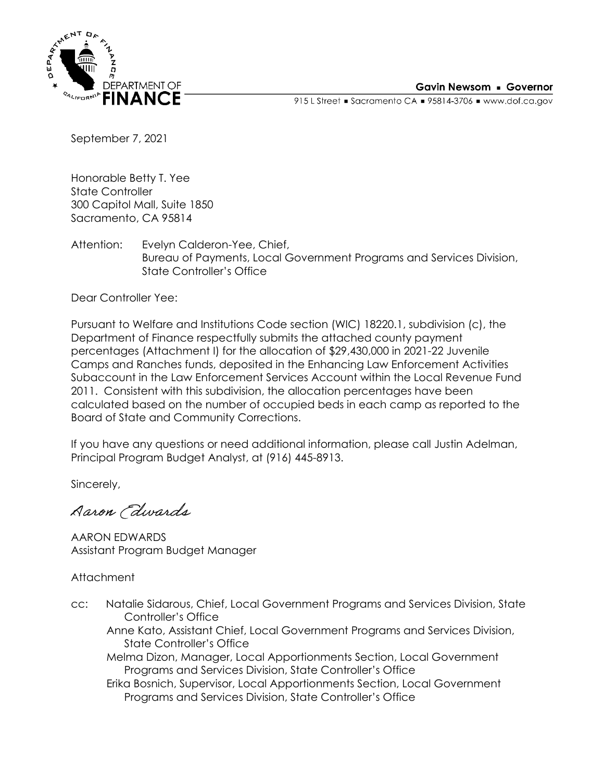

915 L Street = Sacramento CA = 95814-3706 = www.dof.ca.gov

September 7, 2021

Honorable Betty T. Yee State Controller 300 Capitol Mall, Suite 1850 Sacramento, CA 95814

Attention: Evelyn Calderon-Yee, Chief, Bureau of Payments, Local Government Programs and Services Division, State Controller's Office

Dear Controller Yee:

Pursuant to Welfare and Institutions Code section (WIC) 18220.1, subdivision (c), the Department of Finance respectfully submits the attached county payment percentages (Attachment I) for the allocation of \$29,430,000 in 2021-22 Juvenile Camps and Ranches funds, deposited in the Enhancing Law Enforcement Activities Subaccount in the Law Enforcement Services Account within the Local Revenue Fund 2011. Consistent with this subdivision, the allocation percentages have been calculated based on the number of occupied beds in each camp as reported to the Board of State and Community Corrections.

If you have any questions or need additional information, please call Justin Adelman, Principal Program Budget Analyst, at (916) 445-8913.

Sincerely,

Aaron Edwards

AARON EDWARDS Assistant Program Budget Manager

Attachment

cc: Natalie Sidarous, Chief, Local Government Programs and Services Division, State Controller's Office Anne Kato, Assistant Chief, Local Government Programs and Services Division,

State Controller's Office

Melma Dizon, Manager, Local Apportionments Section, Local Government Programs and Services Division, State Controller's Office

Erika Bosnich, Supervisor, Local Apportionments Section, Local Government Programs and Services Division, State Controller's Office